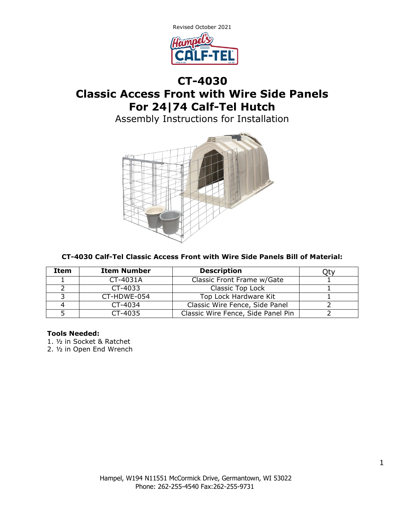

# **CT-4030 Classic Access Front with Wire Side Panels For 24|74 Calf-Tel Hutch**

Assembly Instructions for Installation



### **CT-4030 Calf-Tel Classic Access Front with Wire Side Panels Bill of Material:**

| Item | <b>Item Number</b> | <b>Description</b>                 |  |
|------|--------------------|------------------------------------|--|
|      | CT-4031A           | Classic Front Frame w/Gate         |  |
|      | $CT-4033$          | Classic Top Lock                   |  |
|      | CT-HDWE-054        | Top Lock Hardware Kit              |  |
|      | CT-4034            | Classic Wire Fence, Side Panel     |  |
|      | CT-4035            | Classic Wire Fence, Side Panel Pin |  |

#### **Tools Needed:**

1. ½ in Socket & Ratchet

2. ½ in Open End Wrench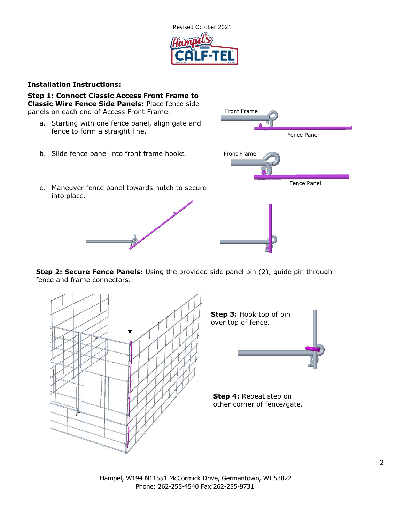

#### **Installation Instructions:**

into place.

**Step 1: Connect Classic Access Front Frame to Classic Wire Fence Side Panels:** Place fence side panels on each end of Access Front Frame.

- a. Starting with one fence panel, align gate and fence to form a straight line.
- b. Slide fence panel into front frame hooks.



**Step 2: Secure Fence Panels:** Using the provided side panel pin (2), guide pin through fence and frame connectors.



Hampel, W194 N11551 McCormick Drive, Germantown, WI 53022 Phone: 262-255-4540 Fax:262-255-9731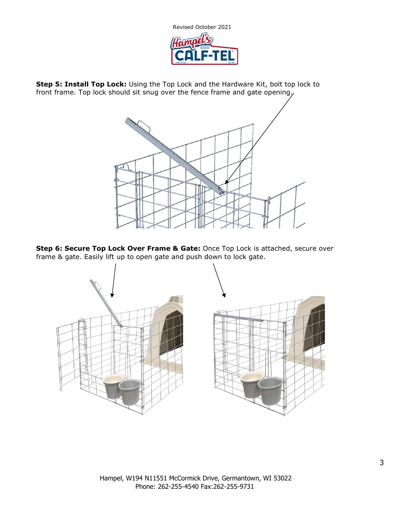

**Step 5: Install Top Lock:** Using the Top Lock and the Hardware Kit, bolt top lock to front frame. Top lock should sit snug over the fence frame and gate opening.



**Step 6: Secure Top Lock Over Frame & Gate:** Once Top Lock is attached, secure over frame & gate. Easily lift up to open gate and push down to lock gate.